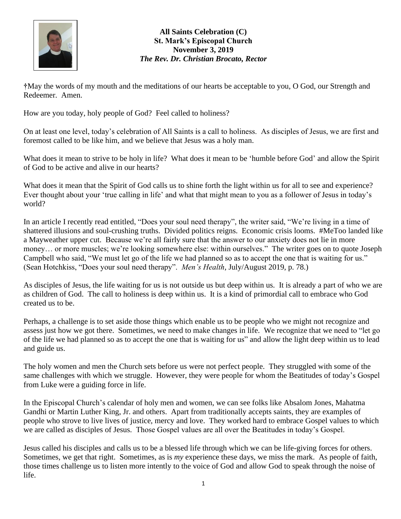

## **All Saints Celebration (C) St. Mark's Episcopal Church November 3, 2019** *The Rev. Dr. Christian Brocato, Rector*

**†**May the words of my mouth and the meditations of our hearts be acceptable to you, O God, our Strength and Redeemer. Amen.

How are you today, holy people of God? Feel called to holiness?

On at least one level, today's celebration of All Saints is a call to holiness. As disciples of Jesus, we are first and foremost called to be like him, and we believe that Jesus was a holy man.

What does it mean to strive to be holy in life? What does it mean to be 'humble before God' and allow the Spirit of God to be active and alive in our hearts?

What does it mean that the Spirit of God calls us to shine forth the light within us for all to see and experience? Ever thought about your 'true calling in life' and what that might mean to you as a follower of Jesus in today's world?

In an article I recently read entitled, "Does your soul need therapy", the writer said, "We're living in a time of shattered illusions and soul-crushing truths. Divided politics reigns. Economic crisis looms. #MeToo landed like a Mayweather upper cut. Because we're all fairly sure that the answer to our anxiety does not lie in more money… or more muscles; we're looking somewhere else: within ourselves." The writer goes on to quote Joseph Campbell who said, "We must let go of the life we had planned so as to accept the one that is waiting for us." (Sean Hotchkiss, "Does your soul need therapy". *Men's Health*, July/August 2019, p. 78.)

As disciples of Jesus, the life waiting for us is not outside us but deep within us. It is already a part of who we are as children of God. The call to holiness is deep within us. It is a kind of primordial call to embrace who God created us to be.

Perhaps, a challenge is to set aside those things which enable us to be people who we might not recognize and assess just how we got there. Sometimes, we need to make changes in life. We recognize that we need to "let go of the life we had planned so as to accept the one that is waiting for us" and allow the light deep within us to lead and guide us.

The holy women and men the Church sets before us were not perfect people. They struggled with some of the same challenges with which we struggle. However, they were people for whom the Beatitudes of today's Gospel from Luke were a guiding force in life.

In the Episcopal Church's calendar of holy men and women, we can see folks like Absalom Jones, Mahatma Gandhi or Martin Luther King, Jr. and others. Apart from traditionally accepts saints, they are examples of people who strove to live lives of justice, mercy and love. They worked hard to embrace Gospel values to which we are called as disciples of Jesus. Those Gospel values are all over the Beatitudes in today's Gospel.

Jesus called his disciples and calls us to be a blessed life through which we can be life-giving forces for others. Sometimes, we get that right. Sometimes, as is *my* experience these days, we miss the mark. As people of faith, those times challenge us to listen more intently to the voice of God and allow God to speak through the noise of life.